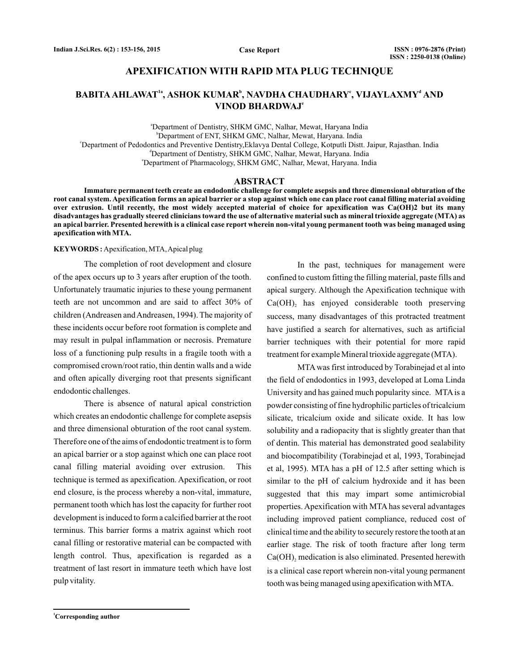## **APEXIFICATION WITH RAPID MTA PLUG TECHNIQUE**

# $\mathbf{B}\mathbf{A}\mathbf{B}\mathbf{I}\mathbf{T}\mathbf{A}\mathbf{A}\mathbf{H}\mathbf{L}\mathbf{A}\mathbf{W}\mathbf{A}\mathbf{T}^{\mathsf{1a}}, \mathbf{A}\mathbf{S}\mathbf{H}\mathbf{O}\mathbf{K}\mathbf{K}\mathbf{U}\mathbf{M}\mathbf{A}\mathbf{R}^{\mathsf{b}}, \mathbf{N}\mathbf{A}\mathbf{V}\mathbf{D}\mathbf{H}\mathbf{A}\mathbf{R}\mathbf{Y}^{\mathsf{c}}, \mathbf{V}\mathbf{I}\mathbf{J}\mathbf{A}\mathbf{Y}\mathbf{L}\mathbf{A}\mathbf{X}\mathbf$ **VINOD BHARDWAJ e**

a Department of Dentistry, SHKM GMC, Nalhar, Mewat, Haryana India b Department of ENT, SHKM GMC, Nalhar, Mewat, Haryana. India c Department of Pedodontics and Preventive Dentistry,Eklavya Dental College, Kotputli Distt. Jaipur, Rajasthan. India d Department of Dentistry, SHKM GMC, Nalhar, Mewat, Haryana. India e Department of Pharmacology, SHKM GMC, Nalhar, Mewat, Haryana. India

### **ABSTRACT**

**Immature permanent teeth create an endodontic challenge for complete asepsis and three dimensional obturation of the root canal system. Apexification forms an apical barrier or a stop against which one can place root canal filling material avoiding over extrusion. Until recently, the most widely accepted material of choice for apexification was Ca(OH)2 but its many disadvantages has gradually steered clinicians toward the use of alternative material such as mineral trioxide aggregate (MTA) as an apical barrier. Presented herewith is a clinical case report wherein non-vital young permanent tooth was being managed using apexification with MTA.**

#### **KEYWORDS :** Apexification, MTA,Apical plug

The completion of root development and closure of the apex occurs up to 3 years after eruption of the tooth. Unfortunately traumatic injuries to these young permanent teeth are not uncommon and are said to affect 30% of children (Andreasen andAndreasen, 1994). The majority of these incidents occur before root formation is complete and may result in pulpal inflammation or necrosis. Premature loss of a functioning pulp results in a fragile tooth with a compromised crown/root ratio, thin dentin walls and a wide and often apically diverging root that presents significant endodontic challenges.

There is absence of natural apical constriction which creates an endodontic challenge for complete asepsis and three dimensional obturation of the root canal system. Therefore one of the aims of endodontic treatment is to form an apical barrier or a stop against which one can place root canal filling material avoiding over extrusion. This technique is termed as apexification. Apexification, or root end closure, is the process whereby a non-vital, immature, permanent tooth which has lost the capacity for further root development is induced to form a calcified barrier at the root terminus. This barrier forms a matrix against which root canal filling or restorative material can be compacted with length control. Thus, apexification is regarded as a treatment of last resort in immature teeth which have lost pulp vitality.

In the past, techniques for management were confined to custom fitting the filling material, paste fills and apical surgery. Although the Apexification technique with  $Ca(OH)$ <sub>2</sub> has enjoyed considerable tooth preserving success, many disadvantages of this protracted treatment have justified a search for alternatives, such as artificial barrier techniques with their potential for more rapid treatment for example Mineral trioxide aggregate (MTA).

MTA was first introduced by Torabinejad et al into the field of endodontics in 1993, developed at Loma Linda University and has gained much popularity since. MTA is a powder consisting of fine hydrophilic particles of tricalcium silicate, tricalcium oxide and silicate oxide. It has low solubility and a radiopacity that is slightly greater than that of dentin. This material has demonstrated good sealability and biocompatibility (Torabinejad et al, 1993, Torabinejad et al, 1995). MTA has a pH of 12.5 after setting which is similar to the pH of calcium hydroxide and it has been suggested that this may impart some antimicrobial properties. Apexification with MTA has several advantages including improved patient compliance, reduced cost of clinical time and the ability to securely restore the tooth at an earlier stage. The risk of tooth fracture after long term  $Ca(OH)$ <sub>2</sub> medication is also eliminated. Presented herewith is a clinical case report wherein non-vital young permanent tooth was being managed using apexification with MTA.

**<sup>1</sup>Corresponding author**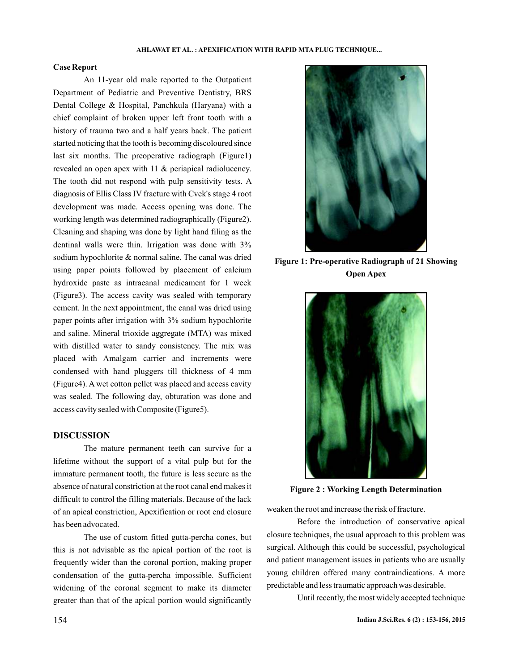### **Case Report**

An 11-year old male reported to the Outpatient Department of Pediatric and Preventive Dentistry, BRS Dental College & Hospital, Panchkula (Haryana) with a chief complaint of broken upper left front tooth with a history of trauma two and a half years back. The patient started noticing that the tooth is becoming discoloured since last six months. The preoperative radiograph (Figure1) revealed an open apex with 11 & periapical radiolucency. The tooth did not respond with pulp sensitivity tests. A diagnosis of Ellis Class IV fracture with Cvek's stage 4 root development was made. Access opening was done. The working length was determined radiographically (Figure2). Cleaning and shaping was done by light hand filing as the dentinal walls were thin. Irrigation was done with 3% sodium hypochlorite & normal saline. The canal was dried using paper points followed by placement of calcium hydroxide paste as intracanal medicament for 1 week (Figure3). The access cavity was sealed with temporary cement. In the next appointment, the canal was dried using paper points after irrigation with 3% sodium hypochlorite and saline. Mineral trioxide aggregate (MTA) was mixed with distilled water to sandy consistency. The mix was placed with Amalgam carrier and increments were condensed with hand pluggers till thickness of 4 mm (Figure4). A wet cotton pellet was placed and access cavity was sealed. The following day, obturation was done and access cavity sealed with Composite (Figure5).

## **DISCUSSION**

The mature permanent teeth can survive for a lifetime without the support of a vital pulp but for the immature permanent tooth, the future is less secure as the absence of natural constriction at the root canal end makes it difficult to control the filling materials. Because of the lack of an apical constriction, Apexification or root end closure has been advocated.

The use of custom fitted gutta-percha cones, but this is not advisable as the apical portion of the root is frequently wider than the coronal portion, making proper condensation of the gutta-percha impossible. Sufficient widening of the coronal segment to make its diameter greater than that of the apical portion would significantly



**Figure 1: Pre-operative Radiograph of 21 Showing Open Apex**



**Figure 2 : Working Length Determination**

weaken the root and increase the risk of fracture.

Before the introduction of conservative apical closure techniques, the usual approach to this problem was surgical. Although this could be successful, psychological and patient management issues in patients who are usually young children offered many contraindications. A more predictable and less traumatic approach was desirable.

Until recently, the most widely accepted technique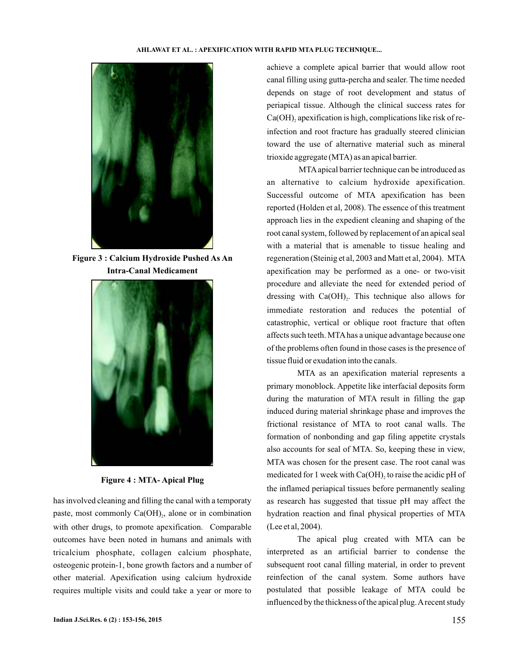

**Figure 3 : Calcium Hydroxide Pushed As An Intra-Canal Medicament**



**Figure 4 : MTA- Apical Plug**

has involved cleaning and filling the canal with a temporaty paste, most commonly  $Ca(OH)_{2}$ , alone or in combination with other drugs, to promote apexification. Comparable outcomes have been noted in humans and animals with tricalcium phosphate, collagen calcium phosphate, osteogenic protein-1, bone growth factors and a number of other material. Apexification using calcium hydroxide requires multiple visits and could take a year or more to

achieve a complete apical barrier that would allow root canal filling using gutta-percha and sealer. The time needed depends on stage of root development and status of periapical tissue. Although the clinical success rates for  $Ca(OH)$ <sub>2</sub> apexification is high, complications like risk of reinfection and root fracture has gradually steered clinician toward the use of alternative material such as mineral trioxide aggregate (MTA) as an apical barrier.

MTAapical barrier technique can be introduced as an alternative to calcium hydroxide apexification. Successful outcome of MTA apexification has been reported (Holden et al, 2008). The essence of this treatment approach lies in the expedient cleaning and shaping of the root canal system, followed by replacement of an apical seal with a material that is amenable to tissue healing and regeneration (Steinig et al, 2003 and Matt et al, 2004). MTA apexification may be performed as a one- or two-visit procedure and alleviate the need for extended period of dressing with  $Ca(OH)_{2}$ . This technique also allows for immediate restoration and reduces the potential of catastrophic, vertical or oblique root fracture that often affects such teeth. MTAhas a unique advantage because one of the problems often found in those cases is the presence of tissue fluid or exudation into the canals.

MTA as an apexification material represents a primary monoblock. Appetite like interfacial deposits form during the maturation of MTA result in filling the gap induced during material shrinkage phase and improves the frictional resistance of MTA to root canal walls. The formation of nonbonding and gap filing appetite crystals also accounts for seal of MTA. So, keeping these in view, MTA was chosen for the present case. The root canal was medicated for 1 week with  $Ca(OH)_2$  to raise the acidic pH of the inflamed periapical tissues before permanently sealing as research has suggested that tissue pH may affect the hydration reaction and final physical properties of MTA (Lee et al, 2004).

The apical plug created with MTA can be interpreted as an artificial barrier to condense the subsequent root canal filling material, in order to prevent reinfection of the canal system. Some authors have postulated that possible leakage of MTA could be influenced by the thickness of the apical plug. A recent study